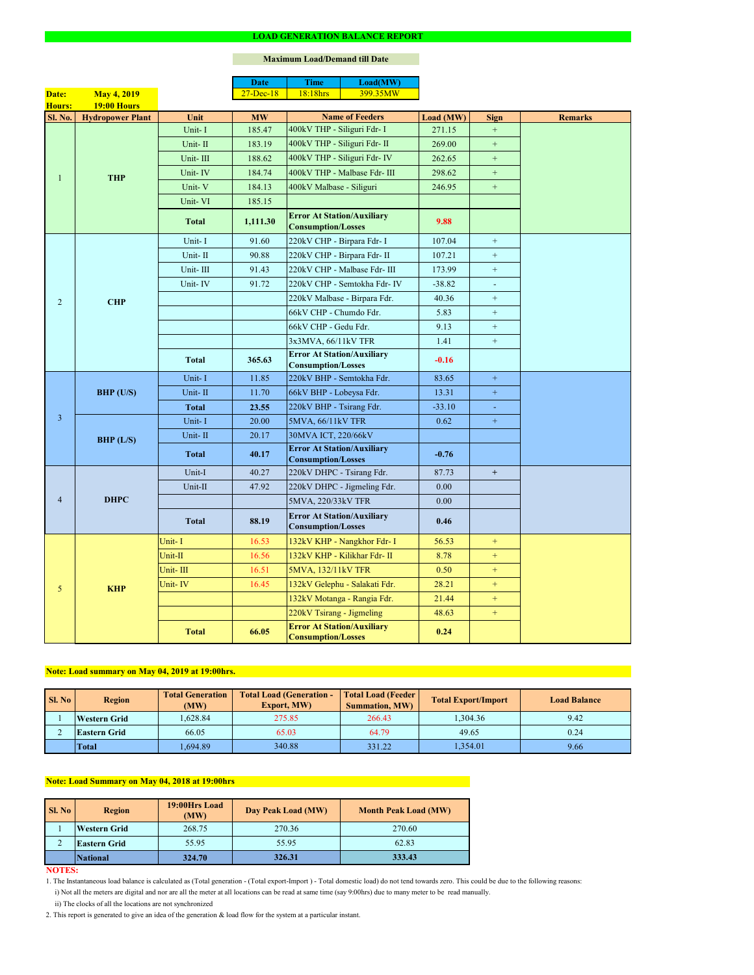#### **NOTES:**

|                |                         |              | <b>Date</b>   | <b>Time</b>                                                    | Load(MW)                      |           |                |                |  |
|----------------|-------------------------|--------------|---------------|----------------------------------------------------------------|-------------------------------|-----------|----------------|----------------|--|
| Date:          | <b>May 4, 2019</b>      |              | $27 - Dec-18$ | 18:18hrs                                                       | 399.35MW                      |           |                |                |  |
| Hours:         | <b>19:00 Hours</b>      |              |               |                                                                |                               |           |                |                |  |
| <b>Sl. No.</b> | <b>Hydropower Plant</b> | Unit         | <b>MW</b>     |                                                                | <b>Name of Feeders</b>        | Load (MW) | <b>Sign</b>    | <b>Remarks</b> |  |
|                |                         | Unit-I       | 185.47        | 400kV THP - Siliguri Fdr- I                                    |                               | 271.15    | $+$            |                |  |
|                |                         | Unit-II      | 183.19        | 400kV THP - Siliguri Fdr- II                                   |                               | 269.00    | $\pm$          |                |  |
|                |                         | Unit-III     | 188.62        |                                                                | 400kV THP - Siliguri Fdr- IV  | 262.65    | $+$            |                |  |
|                | <b>THP</b>              | Unit-IV      | 184.74        |                                                                | 400kV THP - Malbase Fdr- III  | 298.62    | $+$            |                |  |
|                |                         | Unit-V       | 184.13        | 400kV Malbase - Siliguri                                       |                               | 246.95    | $+$            |                |  |
|                |                         | Unit-VI      | 185.15        |                                                                |                               |           |                |                |  |
|                |                         | <b>Total</b> | 1,111.30      | <b>Error At Station/Auxiliary</b><br><b>Consumption/Losses</b> |                               | 9.88      |                |                |  |
|                |                         | Unit-I       | 91.60         | 220kV CHP - Birpara Fdr- I                                     |                               | 107.04    | $+$            |                |  |
|                |                         | Unit-II      | 90.88         | 220kV CHP - Birpara Fdr- II                                    |                               | 107.21    | $+$            |                |  |
|                |                         | Unit-III     | 91.43         |                                                                | 220kV CHP - Malbase Fdr- III  | 173.99    | $\pm$          |                |  |
|                |                         | Unit-IV      | 91.72         |                                                                | 220kV CHP - Semtokha Fdr- IV  | $-38.82$  | $\blacksquare$ |                |  |
| $\overline{2}$ | <b>CHP</b>              |              |               |                                                                | 220kV Malbase - Birpara Fdr.  | 40.36     | $+$            |                |  |
|                |                         |              |               | 66kV CHP - Chumdo Fdr.                                         |                               | 5.83      | $+$            |                |  |
|                |                         |              |               | 66kV CHP - Gedu Fdr.                                           |                               | 9.13      | $+$            |                |  |
|                |                         |              |               | 3x3MVA, 66/11kV TFR                                            |                               | 1.41      | $+$            |                |  |
|                |                         | <b>Total</b> | 365.63        | <b>Error At Station/Auxiliary</b><br><b>Consumption/Losses</b> |                               | $-0.16$   |                |                |  |
|                | $BHP$ (U/S)             | Unit-I       | 11.85         | 220kV BHP - Semtokha Fdr.                                      |                               | 83.65     | $\pm$          |                |  |
|                |                         | Unit-II      | 11.70         | 66kV BHP - Lobeysa Fdr.                                        |                               | 13.31     | $\pm$          |                |  |
|                |                         | <b>Total</b> | 23.55         | 220kV BHP - Tsirang Fdr.                                       |                               | $-33.10$  |                |                |  |
| $\overline{3}$ | BHP (L/S)               | Unit-I       | 20.00         | 5MVA, 66/11kV TFR                                              |                               | 0.62      | $\pm$          |                |  |
|                |                         | Unit-II      | 20.17         | 30MVA ICT, 220/66kV                                            |                               |           |                |                |  |
|                |                         | <b>Total</b> | 40.17         | <b>Error At Station/Auxiliary</b><br><b>Consumption/Losses</b> |                               | $-0.76$   |                |                |  |
|                | <b>DHPC</b>             | Unit-I       | 40.27         | 220kV DHPC - Tsirang Fdr.                                      |                               | 87.73     | $+$            |                |  |
|                |                         | Unit-II      | 47.92         |                                                                | 220kV DHPC - Jigmeling Fdr.   | 0.00      |                |                |  |
| $\overline{4}$ |                         |              |               | 5MVA, 220/33kV TFR                                             |                               | 0.00      |                |                |  |
|                |                         | <b>Total</b> | 88.19         | <b>Error At Station/Auxiliary</b><br><b>Consumption/Losses</b> |                               | 0.46      |                |                |  |
|                |                         | Unit-I       | 16.53         |                                                                | 132kV KHP - Nangkhor Fdr- I   | 56.53     | $+$            |                |  |
|                |                         | Unit-II      | 16.56         |                                                                | 132kV KHP - Kilikhar Fdr- II  | 8.78      | $+$            |                |  |
|                | <b>KHP</b>              | Unit-III     | 16.51         | 5MVA, 132/11kV TFR                                             |                               | 0.50      | $+$            |                |  |
| 5              |                         | Unit-IV      | 16.45         |                                                                | 132kV Gelephu - Salakati Fdr. | 28.21     | $+$            |                |  |
|                |                         |              |               |                                                                | 132kV Motanga - Rangia Fdr.   | 21.44     | $+$            |                |  |
|                |                         |              |               | 220kV Tsirang - Jigmeling                                      |                               | 48.63     | $+$            |                |  |
|                |                         | <b>Total</b> | 66.05         | <b>Error At Station/Auxiliary</b><br><b>Consumption/Losses</b> |                               | 0.24      |                |                |  |

#### **LOAD GENERATION BALANCE REPORT**

| Sl. No | <b>Total Generation</b><br><b>Region</b><br>(MW) |         | <b>Total Load (Generation -</b><br><b>Export, MW)</b> | <b>Total Load (Feeder)</b><br><b>Summation, MW)</b> | <b>Total Export/Import</b> | <b>Load Balance</b> |
|--------|--------------------------------------------------|---------|-------------------------------------------------------|-----------------------------------------------------|----------------------------|---------------------|
|        | ,628.84<br><b>Western Grid</b>                   |         | 275.85                                                | 266.43                                              | ,304.36                    | 9.42                |
|        | 66.05<br><b>Eastern Grid</b>                     |         | 65.03                                                 | 64.79                                               | 49.65                      | 0.24                |
|        | Total                                            | .694.89 | 340.88                                                | 331.22                                              | ,354.01                    | 9.66                |

| SI. No | <b>Region</b>       | 19:00Hrs Load<br>(MW) | Day Peak Load (MW) | <b>Month Peak Load (MW)</b> |  |
|--------|---------------------|-----------------------|--------------------|-----------------------------|--|
|        | <b>Western Grid</b> | 268.75                | 270.36             | 270.60                      |  |
|        | <b>Eastern Grid</b> | 55.95                 | 55.95              | 62.83                       |  |
|        | <i>National</i>     | 324.70                | 326.31             | 333.43                      |  |

i) Not all the meters are digital and nor are all the meter at all locations can be read at same time (say 9:00hrs) due to many meter to be read manually.

# **Note: Load Summary on May 04, 2018 at 19:00hrs**

1. The Instantaneous load balance is calculated as (Total generation - (Total export-Import ) - Total domestic load) do not tend towards zero. This could be due to the following reasons:

# **Note: Load summary on May 04, 2019 at 19:00hrs.**

2. This report is generated to give an idea of the generation & load flow for the system at a particular instant.

### **Maximum Load/Demand till Date**

ii) The clocks of all the locations are not synchronized